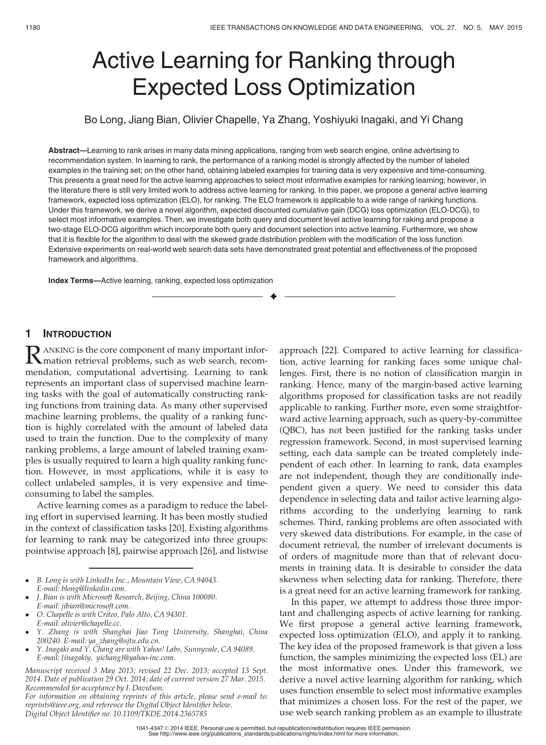# Active Learning for Ranking through Expected Loss Optimization

Bo Long, Jiang Bian, Olivier Chapelle, Ya Zhang, Yoshiyuki Inagaki, and Yi Chang

Abstract—Learning to rank arises in many data mining applications, ranging from web search engine, online advertising to recommendation system. In learning to rank, the performance of a ranking model is strongly affected by the number of labeled examples in the training set; on the other hand, obtaining labeled examples for training data is very expensive and time-consuming. This presents a great need for the active learning approaches to select most informative examples for ranking learning; however, in the literature there is still very limited work to address active learning for ranking. In this paper, we propose a general active learning framework, expected loss optimization (ELO), for ranking. The ELO framework is applicable to a wide range of ranking functions. Under this framework, we derive a novel algorithm, expected discounted cumulative gain (DCG) loss optimization (ELO-DCG), to select most informative examples. Then, we investigate both query and document level active learning for raking and propose a two-stage ELO-DCG algorithm which incorporate both query and document selection into active learning. Furthermore, we show that it is flexible for the algorithm to deal with the skewed grade distribution problem with the modification of the loss function. Extensive experiments on real-world web search data sets have demonstrated great potential and effectiveness of the proposed framework and algorithms.

 $\bigstar$ 

Index Terms—Active learning, ranking, expected loss optimization

# 1 INTRODUCTION

**R**ANKING is the core component of many important infor-<br>mation retrieval problems, such as web search, recom-<br>magnetism as approximation of the state of the state of the state of the state of the state of the state of the mendation, computational advertising. Learning to rank represents an important class of supervised machine learning tasks with the goal of automatically constructing ranking functions from training data. As many other supervised machine learning problems, the quality of a ranking function is highly correlated with the amount of labeled data used to train the function. Due to the complexity of many ranking problems, a large amount of labeled training examples is usually required to learn a high quality ranking function. However, in most applications, while it is easy to collect unlabeled samples, it is very expensive and timeconsuming to label the samples.

Active learning comes as a paradigm to reduce the labeling effort in supervised learning. It has been mostly studied in the context of classification tasks [20]. Existing algorithms for learning to rank may be categorized into three groups: pointwise approach [8], pairwise approach [26], and listwise

- B. Long is with LinkedIn Inc., Mountain View, CA 94043. E-mail: blong@linkedin.com.
- J. Bian is with Microsoft Research, Beijing, China 100080. E-mail: jibian@microsoft.com.
- O. Chapelle is with Criteo, Palo Alto, CA 94301.
- E-mail: olivier@chapelle.cc. Y. Zhang is with Shanghai Jiao Tong University, Shanghai, China 200240. E-mail: ya\_zhang@sjtu.edu.cn.
- Y. Inagaki and Y. Chang are with Yahoo! Labs, Sunnyvale, CA 94089. E-mail: {inagakiy, yichang}@yahoo-inc.com.

Manuscript received 3 May 2013; revised 22 Dec. 2013; accepted 13 Sept. 2014. Date of publication 29 Oct. 2014; date of current version 27 Mar. 2015. Recommended for acceptance by I. Davidson.

For information on obtaining reprints of this article, please send e-mail to: reprints@ieee.org, and reference the Digital Object Identifier below. Digital Object Identifier no. 10.1109/TKDE.2014.2365785

approach [22]. Compared to active learning for classification, active learning for ranking faces some unique challenges. First, there is no notion of classification margin in ranking. Hence, many of the margin-based active learning algorithms proposed for classification tasks are not readily applicable to ranking. Further more, even some straightforward active learning approach, such as query-by-committee (QBC), has not been justified for the ranking tasks under regression framework. Second, in most supervised learning setting, each data sample can be treated completely independent of each other. In learning to rank, data examples are not independent, though they are conditionally independent given a query. We need to consider this data dependence in selecting data and tailor active learning algorithms according to the underlying learning to rank schemes. Third, ranking problems are often associated with very skewed data distributions. For example, in the case of document retrieval, the number of irrelevant documents is of orders of magnitude more than that of relevant documents in training data. It is desirable to consider the data skewness when selecting data for ranking. Therefore, there is a great need for an active learning framework for ranking.

In this paper, we attempt to address those three important and challenging aspects of active learning for ranking. We first propose a general active learning framework, expected loss optimization (ELO), and apply it to ranking. The key idea of the proposed framework is that given a loss function, the samples minimizing the expected loss (EL) are the most informative ones. Under this framework, we derive a novel active learning algorithm for ranking, which uses function ensemble to select most informative examples that minimizes a chosen loss. For the rest of the paper, we use web search ranking problem as an example to illustrate

1041-4347 2014 IEEE. Personal use is permitted, but republication/redistribution requires IEEE permission. See http://www.ieee.org/publications\_standards/publications/rights/index.html for more information.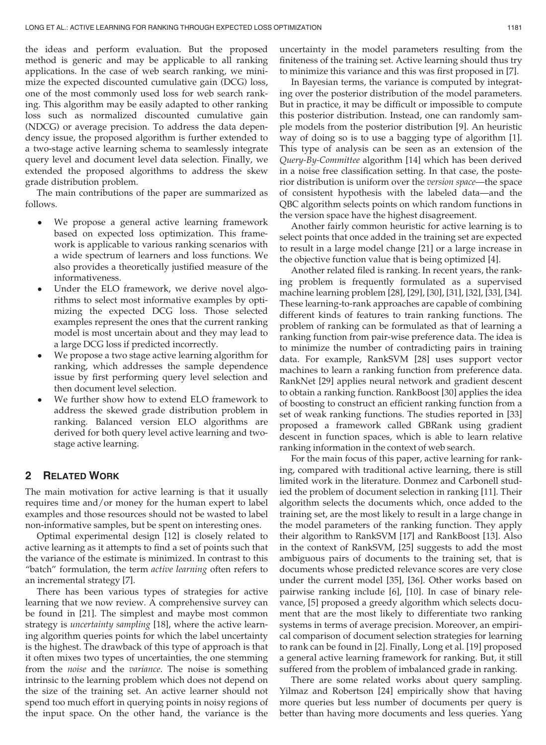the ideas and perform evaluation. But the proposed method is generic and may be applicable to all ranking applications. In the case of web search ranking, we minimize the expected discounted cumulative gain (DCG) loss, one of the most commonly used loss for web search ranking. This algorithm may be easily adapted to other ranking loss such as normalized discounted cumulative gain (NDCG) or average precision. To address the data dependency issue, the proposed algorithm is further extended to a two-stage active learning schema to seamlessly integrate query level and document level data selection. Finally, we extended the proposed algorithms to address the skew grade distribution problem.

The main contributions of the paper are summarized as follows.

- We propose a general active learning framework based on expected loss optimization. This framework is applicable to various ranking scenarios with a wide spectrum of learners and loss functions. We also provides a theoretically justified measure of the informativeness.
- Under the ELO framework, we derive novel algorithms to select most informative examples by optimizing the expected DCG loss. Those selected examples represent the ones that the current ranking model is most uncertain about and they may lead to a large DCG loss if predicted incorrectly.
- We propose a two stage active learning algorithm for ranking, which addresses the sample dependence issue by first performing query level selection and then document level selection.
- We further show how to extend ELO framework to address the skewed grade distribution problem in ranking. Balanced version ELO algorithms are derived for both query level active learning and twostage active learning.

# 2 RELATED WORK

The main motivation for active learning is that it usually requires time and/or money for the human expert to label examples and those resources should not be wasted to label non-informative samples, but be spent on interesting ones.

Optimal experimental design [12] is closely related to active learning as it attempts to find a set of points such that the variance of the estimate is minimized. In contrast to this "batch" formulation, the term active learning often refers to an incremental strategy [7].

There has been various types of strategies for active learning that we now review. A comprehensive survey can be found in [21]. The simplest and maybe most common strategy is uncertainty sampling [18], where the active learning algorithm queries points for which the label uncertainty is the highest. The drawback of this type of approach is that it often mixes two types of uncertainties, the one stemming from the noise and the variance. The noise is something intrinsic to the learning problem which does not depend on the size of the training set. An active learner should not spend too much effort in querying points in noisy regions of the input space. On the other hand, the variance is the uncertainty in the model parameters resulting from the finiteness of the training set. Active learning should thus try to minimize this variance and this was first proposed in [7].

In Bayesian terms, the variance is computed by integrating over the posterior distribution of the model parameters. But in practice, it may be difficult or impossible to compute this posterior distribution. Instead, one can randomly sample models from the posterior distribution [9]. An heuristic way of doing so is to use a bagging type of algorithm [1]. This type of analysis can be seen as an extension of the Query-By-Committee algorithm [14] which has been derived in a noise free classification setting. In that case, the posterior distribution is uniform over the version space—the space of consistent hypothesis with the labeled data—and the QBC algorithm selects points on which random functions in the version space have the highest disagreement.

Another fairly common heuristic for active learning is to select points that once added in the training set are expected to result in a large model change [21] or a large increase in the objective function value that is being optimized [4].

Another related filed is ranking. In recent years, the ranking problem is frequently formulated as a supervised machine learning problem [28], [29], [30], [31], [32], [33], [34]. These learning-to-rank approaches are capable of combining different kinds of features to train ranking functions. The problem of ranking can be formulated as that of learning a ranking function from pair-wise preference data. The idea is to minimize the number of contradicting pairs in training data. For example, RankSVM [28] uses support vector machines to learn a ranking function from preference data. RankNet [29] applies neural network and gradient descent to obtain a ranking function. RankBoost [30] applies the idea of boosting to construct an efficient ranking function from a set of weak ranking functions. The studies reported in [33] proposed a framework called GBRank using gradient descent in function spaces, which is able to learn relative ranking information in the context of web search.

For the main focus of this paper, active learning for ranking, compared with traditional active learning, there is still limited work in the literature. Donmez and Carbonell studied the problem of document selection in ranking [11]. Their algorithm selects the documents which, once added to the training set, are the most likely to result in a large change in the model parameters of the ranking function. They apply their algorithm to RankSVM [17] and RankBoost [13]. Also in the context of RankSVM, [25] suggests to add the most ambiguous pairs of documents to the training set, that is documents whose predicted relevance scores are very close under the current model [35], [36]. Other works based on pairwise ranking include [6], [10]. In case of binary relevance, [5] proposed a greedy algorithm which selects document that are the most likely to differentiate two ranking systems in terms of average precision. Moreover, an empirical comparison of document selection strategies for learning to rank can be found in [2]. Finally, Long et al. [19] proposed a general active learning framework for ranking. But, it still suffered from the problem of imbalanced grade in ranking.

There are some related works about query sampling. Yilmaz and Robertson [24] empirically show that having more queries but less number of documents per query is better than having more documents and less queries. Yang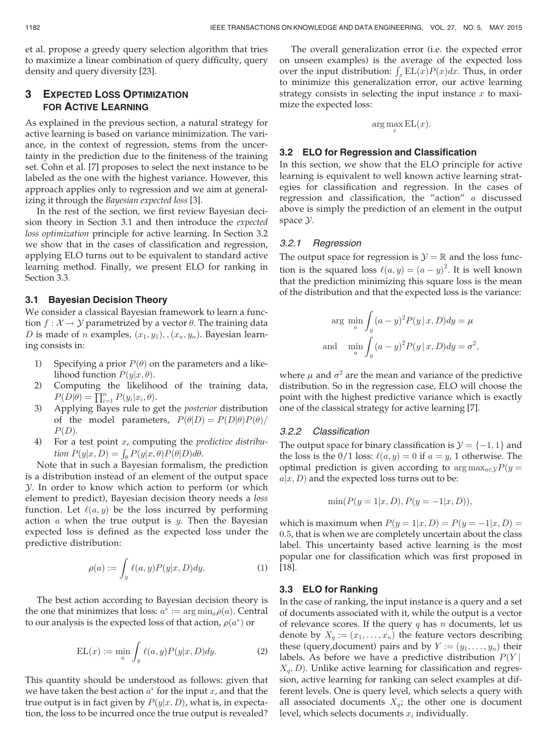et al. propose a greedy query selection algorithm that tries to maximize a linear combination of query difficulty, query density and query diversity [23].

# **EXPECTED LOSS OPTIMIZATION** FOR ACTIVE LEARNING

As explained in the previous section, a natural strategy for active learning is based on variance minimization. The variance, in the context of regression, stems from the uncertainty in the prediction due to the finiteness of the training set. Cohn et al. [7] proposes to select the next instance to be labeled as the one with the highest variance. However, this approach applies only to regression and we aim at generalizing it through the Bayesian expected loss [3].

In the rest of the section, we first review Bayesian decision theory in Section 3.1 and then introduce the expected loss optimization principle for active learning. In Section 3.2 we show that in the cases of classification and regression, applying ELO turns out to be equivalent to standard active learning method. Finally, we present ELO for ranking in Section 3.3.

# 3.1 Bayesian Decision Theory

We consider a classical Bayesian framework to learn a function  $f : \mathcal{X} \to \mathcal{Y}$  parametrized by a vector  $\theta$ . The training data D is made of n examples,  $(x_1, y_1), (x_n, y_n)$ . Bayesian learning consists in:

- 1) Specifying a prior  $P(\theta)$  on the parameters and a likelihood function  $P(y|x, \theta)$ .
- 2) Computing the likelihood of the training data,  $P(D|\theta) = \prod_{i=1}^{n} P(y_i|x_i, \theta).$ <br>Applying Bayes rule to 9
- 3) Applying Bayes rule to get the posterior distribution of the model parameters,  $P(\theta|D) = P(D|\theta)P(\theta)$  $P(D)$ .
- 4) For a test point  $x$ , computing the *predictive distribu*tion  $P(y|x, D) = \int_{\theta} P(y|x, \theta) P(\theta|D) d\theta$ .

Note that in such a Bayesian formalism, the prediction is a distribution instead of an element of the output space Y. In order to know which action to perform (or which element to predict), Bayesian decision theory needs a loss function. Let  $\ell(a, y)$  be the loss incurred by performing action  $a$  when the true output is  $y$ . Then the Bayesian expected loss is defined as the expected loss under the predictive distribution:

$$
\rho(a) := \int_{y} \ell(a, y) P(y|x, D) dy.
$$
 (1)

The best action according to Bayesian decision theory is the one that minimizes that loss:  $a^* := \arg \min_a \rho(a)$ . Central to our analysis is the expected loss of that action,  $\rho(a^*)$  or

$$
EL(x) := \min_{a} \int_{y} \ell(a, y) P(y|x, D) dy.
$$
 (2)

This quantity should be understood as follows: given that we have taken the best action  $a^*$  for the input  $x$ , and that the true output is in fact given by  $P(y|x, D)$ , what is, in expectation, the loss to be incurred once the true output is revealed?

The overall generalization error (i.e. the expected error on unseen examples) is the average of the expected loss over the input distribution:  $\int_x \mathrm{EL}(x) P(x) dx$ . Thus, in order to minimize this generalization error, our active learning to minimize this generalization error, our active learning strategy consists in selecting the input instance  $x$  to maximize the expected loss:

$$
\arg\max_x \mathbf{EL}(x).
$$

### 3.2 ELO for Regression and Classification

In this section, we show that the ELO principle for active learning is equivalent to well known active learning strategies for classification and regression. In the cases of regression and classification, the "action" a discussed above is simply the prediction of an element in the output space Y.

#### 3.2.1 Regression

The output space for regression is  $\mathcal{Y} = \mathbb{R}$  and the loss function is the squared loss  $\ell(a, y) = (a - y)^2$ . It is well known<br>that the prediction minimizing this square loss is the mean that the prediction minimizing this square loss is the mean of the distribution and that the expected loss is the variance:

$$
\arg\min_{a} \int_{y} (a - y)^{2} P(y | x, D) dy = \mu
$$
  
and 
$$
\min_{a} \int_{y} (a - y)^{2} P(y | x, D) dy = \sigma^{2},
$$

where  $\mu$  and  $\sigma^2$  are the mean and variance of the predictive distribution. So in the regression case, ELO will choose the point with the highest predictive variance which is exactly one of the classical strategy for active learning [7].

#### 3.2.2 Classification

The output space for binary classification is  $\mathcal{Y} = \{-1, 1\}$  and the loss is the 0/1 loss:  $\ell(a, y) = 0$  if  $a = y$ , 1 otherwise. The optimal prediction is given according to  $\arg \max_{a \in \mathcal{Y}} P(y = \theta)$  $a|x, D$  and the expected loss turns out to be:

$$
\min(P(y = 1|x, D), P(y = -1|x, D)),
$$

which is maximum when  $P(y = 1|x, D) = P(y = -1|x, D) =$ 0:5, that is when we are completely uncertain about the class label. This uncertainty based active learning is the most popular one for classification which was first proposed in [18].

#### 3.3 ELO for Ranking

In the case of ranking, the input instance is a query and a set of documents associated with it, while the output is a vector of relevance scores. If the query  $q$  has  $n$  documents, let us denote by  $X_q := (x_1, \ldots, x_n)$  the feature vectors describing these (query,document) pairs and by  $Y := (y_1, \ldots, y_n)$  their labels. As before we have a predictive distribution  $P(Y|)$  $X_q$ , D). Unlike active learning for classification and regression, active learning for ranking can select examples at different levels. One is query level, which selects a query with all associated documents  $X_q$ ; the other one is document level, which selects documents  $x_i$  individually.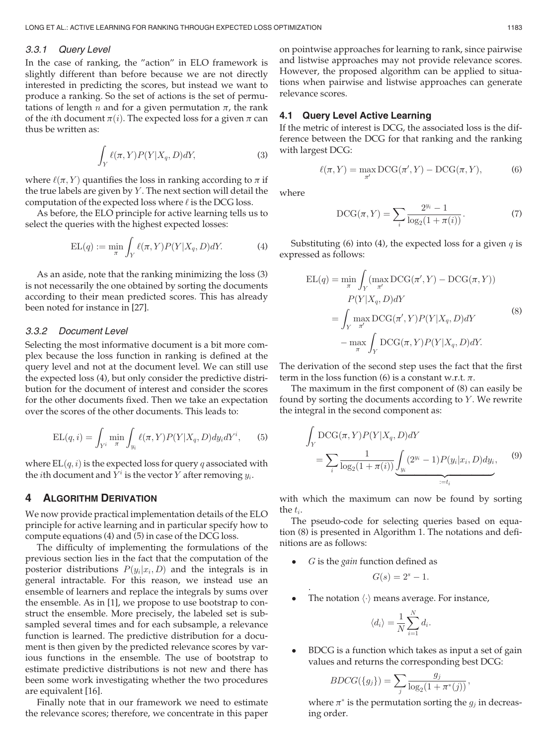#### 3.3.1 Query Level

In the case of ranking, the "action" in ELO framework is slightly different than before because we are not directly interested in predicting the scores, but instead we want to produce a ranking. So the set of actions is the set of permutations of length *n* and for a given permutation  $\pi$ , the rank of the *i*th document  $\pi(i)$ . The expected loss for a given  $\pi$  can thus be written as:

$$
\int_{Y} \ell(\pi, Y) P(Y | X_q, D) dY,
$$
\n(3)

where  $\ell(\pi, Y)$  quantifies the loss in ranking according to  $\pi$  if the true labels are given by  $Y$ . The next section will detail the computation of the expected loss where  $\ell$  is the DCG loss.

As before, the ELO principle for active learning tells us to select the queries with the highest expected losses:

$$
EL(q) := \min_{\pi} \int_{Y} \ell(\pi, Y) P(Y | X_q, D) dY.
$$
 (4)

As an aside, note that the ranking minimizing the loss (3) is not necessarily the one obtained by sorting the documents according to their mean predicted scores. This has already been noted for instance in [27].

# 3.3.2 Document Level

Selecting the most informative document is a bit more complex because the loss function in ranking is defined at the query level and not at the document level. We can still use the expected loss (4), but only consider the predictive distribution for the document of interest and consider the scores for the other documents fixed. Then we take an expectation over the scores of the other documents. This leads to:

$$
EL(q, i) = \int_{Y_i} \min_{\pi} \int_{y_i} \ell(\pi, Y) P(Y | X_q, D) dy_i dY^i, \quad (5)
$$

where  $EL(q, i)$  is the expected loss for query q associated with the *i*th document and  $Y^i$  is the vector Y after removing  $y_i$ .

#### 4 ALGORITHM DERIVATION

We now provide practical implementation details of the ELO principle for active learning and in particular specify how to compute equations (4) and (5) in case of the DCG loss.

The difficulty of implementing the formulations of the previous section lies in the fact that the computation of the posterior distributions  $P(y_i|x_i, D)$  and the integrals is in general intractable. For this reason, we instead use an ensemble of learners and replace the integrals by sums over the ensemble. As in [1], we propose to use bootstrap to construct the ensemble. More precisely, the labeled set is subsampled several times and for each subsample, a relevance function is learned. The predictive distribution for a document is then given by the predicted relevance scores by various functions in the ensemble. The use of bootstrap to estimate predictive distributions is not new and there has been some work investigating whether the two procedures are equivalent [16].

Finally note that in our framework we need to estimate the relevance scores; therefore, we concentrate in this paper on pointwise approaches for learning to rank, since pairwise and listwise approaches may not provide relevance scores. However, the proposed algorithm can be applied to situations when pairwise and listwise approaches can generate relevance scores.

#### 4.1 Query Level Active Learning

If the metric of interest is DCG, the associated loss is the difference between the DCG for that ranking and the ranking with largest DCG:

$$
\ell(\pi, Y) = \max_{\pi'} \text{DCG}(\pi', Y) - \text{DCG}(\pi, Y),\tag{6}
$$

where

DCG
$$
(\pi, Y)
$$
 =  $\sum_{i} \frac{2^{y_i} - 1}{\log_2(1 + \pi(i))}$ . (7)

Substituting (6) into (4), the expected loss for a given  $q$  is expressed as follows:

$$
EL(q) = \min_{\pi} \int_{Y} (\max_{\pi'} DCG(\pi', Y) - DCG(\pi, Y))
$$

$$
P(Y|X_q, D)dY
$$

$$
= \int_{Y} \max_{\pi'} DCG(\pi', Y)P(Y|X_q, D)dY
$$
(8)
$$
- \max_{\pi} \int_{Y} DCG(\pi, Y)P(Y|X_q, D)dY.
$$

The derivation of the second step uses the fact that the first term in the loss function (6) is a constant w.r.t.  $\pi$ .

The maximum in the first component of (8) can easily be found by sorting the documents according to  $Y$ . We rewrite the integral in the second component as:

$$
\int_{Y} \text{DCG}(\pi, Y) P(Y | X_q, D) dY
$$
\n
$$
= \sum_{i} \frac{1}{\log_2(1 + \pi(i))} \underbrace{\int_{y_i} (2^{y_i} - 1) P(y_i | x_i, D) dy_i}_{:= t_i}, \qquad (9)
$$

with which the maximum can now be found by sorting the  $t_i$ .

The pseudo-code for selecting queries based on equation (8) is presented in Algorithm 1. The notations and definitions are as follows:

G is the *gain* function defined as

.

$$
G(s) = 2^s - 1.
$$

The notation  $\langle \cdot \rangle$  means average. For instance,

$$
\langle d_i \rangle = \frac{1}{N} \sum_{i=1}^N d_i.
$$

 BDCG is a function which takes as input a set of gain values and returns the corresponding best DCG:

$$
BDCG({g_j}) = \sum_{j} \frac{g_j}{\log_2(1 + \pi^*(j))},
$$

where  $\pi^*$  is the permutation sorting the  $g_j$  in decreasing order.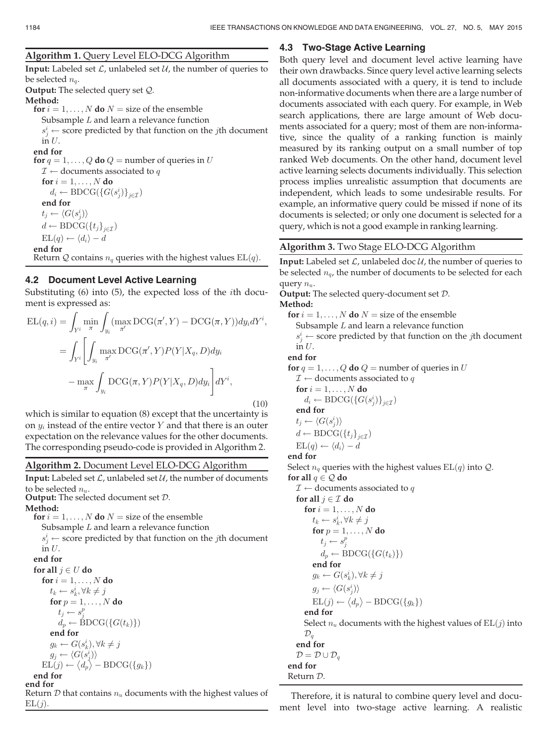Algorithm 1. Query Level ELO-DCG Algorithm **Input:** Labeled set  $\mathcal{L}$ , unlabeled set  $\mathcal{U}$ , the number of queries to be selected  $n_a$ . Output: The selected query set Q. Method: for  $i = 1, ..., N$  do  $N =$  size of the ensemble Subsample L and learn a relevance function  $s_j^i$   $\leftarrow$  score predicted by that function on the *j*th document<br>in *U*  $\overline{\text{in } U}$ . end for for  $q = 1, \ldots, Q$  do  $Q$  = number of queries in U  $\mathcal{I} \leftarrow$  documents associated to  $q$ <br>**for**  $i = 1, ..., N$  **do** for  $i = 1, ..., N$  do<br> $d_i \leftarrow \text{RDCG}(fG)$  $d_i \leftarrow \text{BDCG}(\{G(s_j^i)\}_{j \in \mathcal{I}})$ nd for end for  $t_j \leftarrow \langle G(s_i^i) \rangle$ j) |<br>∩ (  $d \leftarrow \text{BDCG}(\{t_j\}_{j \in \mathcal{I}})$  $EL(q) \leftarrow \langle d_i \rangle - d$ end for Return  $Q$  contains  $n_q$  queries with the highest values  $EL(q)$ .

# 4.2 Document Level Active Learning

Substituting (6) into (5), the expected loss of the ith document is expressed as:

$$
EL(q, i) = \int_{Y^i} \min_{\pi} \int_{y_i} (\max_{\pi'} \text{DCG}(\pi', Y) - \text{DCG}(\pi, Y)) dy_i dY^i,
$$
  
\n
$$
= \int_{Y^i} \left[ \int_{y_i} \max_{\pi'} \text{DCG}(\pi', Y) P(Y | X_q, D) dy_i \right]
$$
  
\n
$$
- \max_{\pi} \int_{y_i} \text{DCG}(\pi, Y) P(Y | X_q, D) dy_i \right] dY^i,
$$
\n(10)

which is similar to equation  $(8)$  except that the uncertainty is on  $y_i$  instead of the entire vector Y and that there is an outer expectation on the relevance values for the other documents. The corresponding pseudo-code is provided in Algorithm 2.

# Algorithm 2. Document Level ELO-DCG Algorithm

**Input:** Labeled set  $\mathcal{L}$ , unlabeled set  $\mathcal{U}$ , the number of documents to be selected  $n_{\text{max}}$ .

**Output:** The selected document set  $D$ .

# Method:

for  $i = 1, ..., N$  do  $N =$  size of the ensemble Subsample L and learn a relevance function  $s_j^i$   $\leftarrow$  score predicted by that function on the *j*th document<br>in *U* in  $U$ . end for for all  $j \in U$  do for  $i = 1, \ldots, N$  do  $t_k \leftarrow s_k^i, \forall k \neq j$ <br>for  $n = 1$ for  $p = 1, \ldots, N$  do  $t_j \leftarrow s_j^p$ <br>d  $\leftarrow$  B  $d_p \leftarrow \text{BDCG}(\{G(t_k)\})$ end for  $g_k \leftarrow G(s_k^i), \forall k \neq j$ <br> $g_i \leftarrow \langle G(s_i^i) \rangle$  $g_j \leftarrow \langle G(s_i^i) \rangle$  $\text{EL}(j) \leftarrow \langle d_p \rangle - \text{BDCG}(\lbrace g_k \rbrace)$ 

#### end for end for

Return  $D$  that contains  $n_u$  documents with the highest values of  $EL(j)$ .

# 4.3 Two-Stage Active Learning

Both query level and document level active learning have their own drawbacks. Since query level active learning selects all documents associated with a query, it is tend to include non-informative documents when there are a large number of documents associated with each query. For example, in Web search applications, there are large amount of Web documents associated for a query; most of them are non-informative, since the quality of a ranking function is mainly measured by its ranking output on a small number of top ranked Web documents. On the other hand, document level active learning selects documents individually. This selection process implies unrealistic assumption that documents are independent, which leads to some undesirable results. For example, an informative query could be missed if none of its documents is selected; or only one document is selected for a query, which is not a good example in ranking learning.

# Algorithm 3. Two Stage ELO-DCG Algorithm

Input: Labeled set  $\mathcal{L}$ , unlabeled doc  $\mathcal{U}$ , the number of queries to be selected  $n_q$ , the number of documents to be selected for each query  $n_u$ .

Output: The selected query-document set D. Method: for  $i = 1, ..., N$  do  $N =$  size of the ensemble Subsample L and learn a relevance function  $s_j^i$   $\leftarrow$  score predicted by that function on the *j*th document<br>in *U* in  $U$ . end for for  $q = 1, \ldots, Q$  do  $Q$  = number of queries in U  $\mathcal{I} \leftarrow$  documents associated to q for  $i = 1, \ldots, N$  do  $d_i \leftarrow \text{BDCG}(\{G(s_j^i)\}_{j \in \mathcal{I}})$ nd for end for  $t_i \leftarrow \langle G(s_i^i) \rangle$ j) |<br>∩ (  $d \leftarrow \text{BDCG}(\{t_j\}_{j \in \mathcal{I}})$  $EL(q) \leftarrow \langle d_i \rangle - d$ end for Select  $n_q$  queries with the highest values  $EL(q)$  into  $Q$ . for all  $q \in \mathcal{Q}$  do  $\mathcal{I} \leftarrow$  documents associated to q for all  $j \in \mathcal{I}$  do for  $i = 1, \ldots, N$  do  $t_k \leftarrow s_k^i, \forall k \neq j$ <br>for  $n = 1$ for  $p = 1, \ldots, N$  do  $t_j \leftarrow s_j^p$  $d_p \leftarrow \text{BDCG}(\{G(t_k)\})$ end for  $g_k \leftarrow G(s_k^i), \forall k \neq j$  $g_i \leftarrow \langle G(s_i^i) \rangle$ jII<br>'  $\text{EL}(j) \leftarrow \langle d_p \rangle - \text{BDCG}(\lbrace g_k \rbrace)$ end for Select  $n_u$  documents with the highest values of  $EL(j)$  into  $\mathcal{D}_q$  $\frac{\nu_q}{\text{end for}}$  $\mathcal{D} = \mathcal{D} \cup \mathcal{D}_\alpha$ end for Return D.

Therefore, it is natural to combine query level and document level into two-stage active learning. A realistic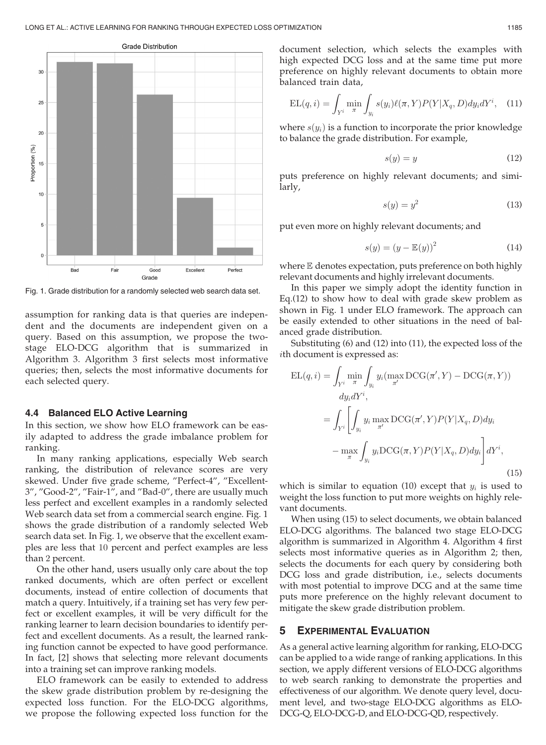

Fig. 1. Grade distribution for a randomly selected web search data set.

assumption for ranking data is that queries are independent and the documents are independent given on a query. Based on this assumption, we propose the twostage ELO-DCG algorithm that is summarized in Algorithm 3. Algorithm 3 first selects most informative queries; then, selects the most informative documents for each selected query.

#### 4.4 Balanced ELO Active Learning

In this section, we show how ELO framework can be easily adapted to address the grade imbalance problem for ranking.

In many ranking applications, especially Web search ranking, the distribution of relevance scores are very skewed. Under five grade scheme, "Perfect-4", "Excellent-3", "Good-2", "Fair-1", and "Bad-0", there are usually much less perfect and excellent examples in a randomly selected Web search data set from a commercial search engine. Fig. 1 shows the grade distribution of a randomly selected Web search data set. In Fig. 1, we observe that the excellent examples are less that 10 percent and perfect examples are less than 2 percent.

On the other hand, users usually only care about the top ranked documents, which are often perfect or excellent documents, instead of entire collection of documents that match a query. Intuitively, if a training set has very few perfect or excellent examples, it will be very difficult for the ranking learner to learn decision boundaries to identify perfect and excellent documents. As a result, the learned ranking function cannot be expected to have good performance. In fact, [2] shows that selecting more relevant documents into a training set can improve ranking models.

ELO framework can be easily to extended to address the skew grade distribution problem by re-designing the expected loss function. For the ELO-DCG algorithms, we propose the following expected loss function for the document selection, which selects the examples with high expected DCG loss and at the same time put more preference on highly relevant documents to obtain more balanced train data,

$$
EL(q, i) = \int_{Y^i} \min_{\pi} \int_{y_i} s(y_i) \ell(\pi, Y) P(Y | X_q, D) dy_i dY^i, \quad (11)
$$

where  $s(y_i)$  is a function to incorporate the prior knowledge to balance the grade distribution. For example,

$$
s(y) = y \tag{12}
$$

puts preference on highly relevant documents; and similarly,

$$
s(y) = y^2 \tag{13}
$$

put even more on highly relevant documents; and

$$
s(y) = (y - \mathbb{E}(y))^2
$$
 (14)

where E denotes expectation, puts preference on both highly relevant documents and highly irrelevant documents.

In this paper we simply adopt the identity function in Eq.(12) to show how to deal with grade skew problem as shown in Fig. 1 under ELO framework. The approach can be easily extended to other situations in the need of balanced grade distribution.

Substituting (6) and (12) into (11), the expected loss of the ith document is expressed as:

$$
EL(q, i) = \int_{Y^i} \min_{\pi} \int_{y_i} y_i(\max_{\pi'} \text{DCG}(\pi', Y) - \text{DCG}(\pi, Y))
$$

$$
dy_i dY^i,
$$

$$
= \int_{Y^i} \left[ \int_{y_i} y_i \max_{\pi'} \text{DCG}(\pi', Y) P(Y | X_q, D) dy_i - \max_{\pi} \int_{y_i} y_i \text{DCG}(\pi, Y) P(Y | X_q, D) dy_i \right] dY^i,
$$
(15)

which is similar to equation (10) except that  $y_i$  is used to weight the loss function to put more weights on highly relevant documents.

When using (15) to select documents, we obtain balanced ELO-DCG algorithms. The balanced two stage ELO-DCG algorithm is summarized in Algorithm 4. Algorithm 4 first selects most informative queries as in Algorithm 2; then, selects the documents for each query by considering both DCG loss and grade distribution, i.e., selects documents with most potential to improve DCG and at the same time puts more preference on the highly relevant document to mitigate the skew grade distribution problem.

# 5 EXPERIMENTAL EVALUATION

As a general active learning algorithm for ranking, ELO-DCG can be applied to a wide range of ranking applications. In this section, we apply different versions of ELO-DCG algorithms to web search ranking to demonstrate the properties and effectiveness of our algorithm. We denote query level, document level, and two-stage ELO-DCG algorithms as ELO-DCG-Q, ELO-DCG-D, and ELO-DCG-QD, respectively.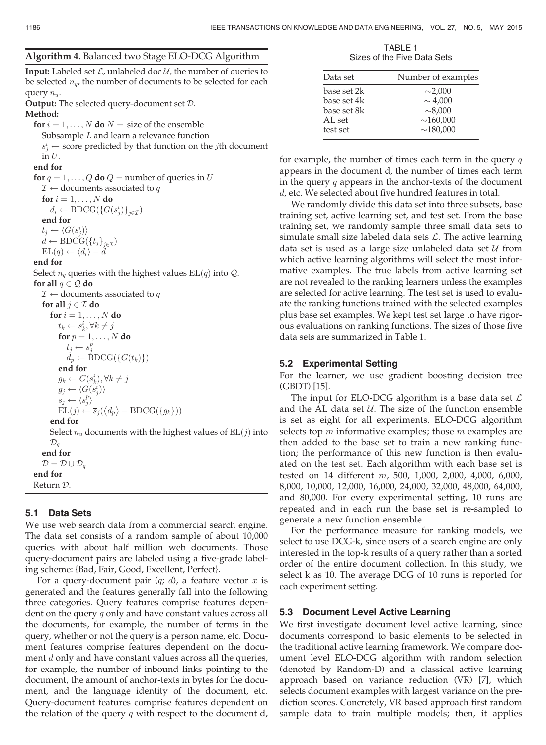# Algorithm 4. Balanced two Stage ELO-DCG Algorithm

**Input:** Labeled set  $\mathcal{L}$ , unlabeled doc  $\mathcal{U}$ , the number of queries to be selected  $n_q$ , the number of documents to be selected for each query  $n_u$ . Output: The selected query-document set D. Method: for  $i = 1, ..., N$  do  $N =$  size of the ensemble Subsample L and learn a relevance function  $s_j^i$   $\leftarrow$  score predicted by that function on the *j*th document<br>in *U*  $\overline{\text{in }U}$ . end for for  $q = 1, \ldots, Q$  do  $Q$  = number of queries in U  $\mathcal{I} \leftarrow$  documents associated to q for  $i = 1, \ldots, N$  do  $d_i \leftarrow \text{BDCG}(\{G(s_j^i)\}_{j \in \mathcal{I}})$ nd for end for  $t_i \leftarrow \langle G(s_i^i) \rangle$  $d \leftarrow \text{BDCG}(\{t_j\}_{j \in \mathcal{I}})$ <br>EL $(a) \leftarrow (d \cdot) - d$  $EL(q) \leftarrow \langle d_i \rangle - d$ end for Select  $n_q$  queries with the highest values  $EL(q)$  into  $Q$ . for all  $q \in \mathcal{Q}$  do  $\mathcal{I} \leftarrow$  documents associated to q for all  $j \in \mathcal{I}$  do for  $i = 1, \ldots, N$  do  $t_k \leftarrow s_k^i, \forall k \neq j$ <br>for  $n = 1$ for  $p = 1, \ldots, N$  do  $t_j \leftarrow s_j^p$ <br>d  $\leftarrow$  B  $d_p \leftarrow \text{BDCG}(\{G(t_k)\})$ end for  $g_k \leftarrow G(s_k^i), \forall k \neq j$ <br> $g_i \leftarrow \langle G(s_i^i) \rangle$  $g_j \leftarrow \langle G(s_j^i) \rangle$  $\overline{s}_j \leftarrow \langle s_j^p \rangle$ EL $(i) \leftarrow$  $\text{EL}(j) \leftarrow \overline{s}_j(\langle d_p \rangle - \text{BDCG}(\{g_k\}) )$ end for Select  $n_u$  documents with the highest values of  $EL(j)$  into  $\mathcal{D}_q$ end for  $\mathcal{D} = \mathcal{D} \cup \mathcal{D}_a$ end for Return D.

# 5.1 Data Sets

We use web search data from a commercial search engine. The data set consists of a random sample of about 10,000 queries with about half million web documents. Those query-document pairs are labeled using a five-grade labeling scheme: {Bad, Fair, Good, Excellent, Perfect}.

For a query-document pair  $(q; d)$ , a feature vector x is generated and the features generally fall into the following three categories. Query features comprise features dependent on the query  $q$  only and have constant values across all the documents, for example, the number of terms in the query, whether or not the query is a person name, etc. Document features comprise features dependent on the document d only and have constant values across all the queries, for example, the number of inbound links pointing to the document, the amount of anchor-texts in bytes for the document, and the language identity of the document, etc. Query-document features comprise features dependent on the relation of the query  $q$  with respect to the document d,

TABLE 1 Sizes of the Five Data Sets

| Data set    | Number of examples |  |
|-------------|--------------------|--|
| base set 2k | $\sim$ 2,000       |  |
| base set 4k | $\sim 4.000$       |  |
| base set 8k | ~1.000             |  |
| AL set      | $\sim$ 160,000     |  |
| test set    | $\sim$ 180.000     |  |

for example, the number of times each term in the query  $q$ appears in the document d, the number of times each term in the query  $q$  appears in the anchor-texts of the document d, etc. We selected about five hundred features in total.

We randomly divide this data set into three subsets, base training set, active learning set, and test set. From the base training set, we randomly sample three small data sets to simulate small size labeled data sets  $\mathcal{L}$ . The active learning data set is used as a large size unlabeled data set  $U$  from which active learning algorithms will select the most informative examples. The true labels from active learning set are not revealed to the ranking learners unless the examples are selected for active learning. The test set is used to evaluate the ranking functions trained with the selected examples plus base set examples. We kept test set large to have rigorous evaluations on ranking functions. The sizes of those five data sets are summarized in Table 1.

# 5.2 Experimental Setting

For the learner, we use gradient boosting decision tree (GBDT) [15].

The input for ELO-DCG algorithm is a base data set  $\mathcal L$ and the AL data set  $U$ . The size of the function ensemble is set as eight for all experiments. ELO-DCG algorithm selects top  $m$  informative examples; those  $m$  examples are then added to the base set to train a new ranking function; the performance of this new function is then evaluated on the test set. Each algorithm with each base set is tested on 14 different m, 500, 1,000, 2,000, 4,000, 6,000, 8,000, 10,000, 12,000, 16,000, 24,000, 32,000, 48,000, 64,000, and 80,000. For every experimental setting, 10 runs are repeated and in each run the base set is re-sampled to generate a new function ensemble.

For the performance measure for ranking models, we select to use DCG-k, since users of a search engine are only interested in the top-k results of a query rather than a sorted order of the entire document collection. In this study, we select k as 10. The average DCG of 10 runs is reported for each experiment setting.

# 5.3 Document Level Active Learning

We first investigate document level active learning, since documents correspond to basic elements to be selected in the traditional active learning framework. We compare document level ELO-DCG algorithm with random selection (denoted by Random-D) and a classical active learning approach based on variance reduction (VR) [7], which selects document examples with largest variance on the prediction scores. Concretely, VR based approach first random sample data to train multiple models; then, it applies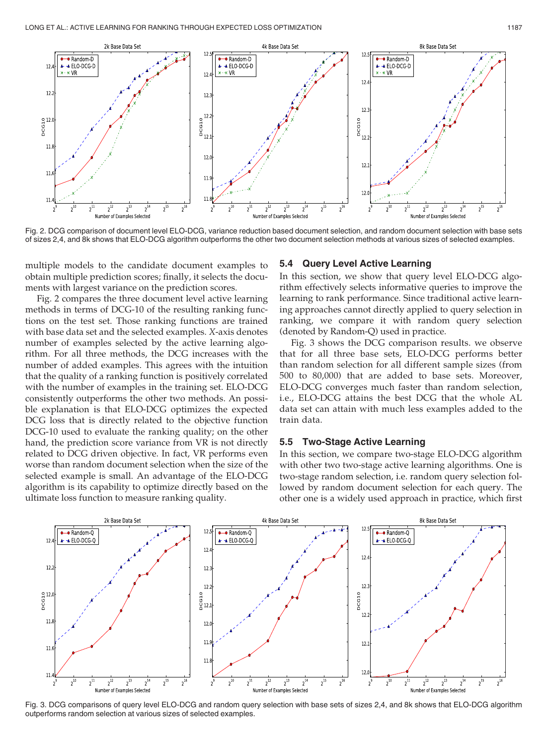$11$ 

 $12$ 

 $12$ 

 $\overset{\mathtt{o}}{\underset{\mathtt{DG}}{\mathtt{G}}}$  12

 $11$ 

 $\overline{11}$ 

 $11$ 



 $2^1$ 

Fig. 2. DCG comparison of document level ELO-DCG, variance reduction based document selection, and random document selection with base sets of sizes 2,4, and 8k shows that ELO-DCG algorithm outperforms the other two document selection methods at various sizes of selected examples.

Number of Examples Selected

 $2^{11}$ 

multiple models to the candidate document examples to obtain multiple prediction scores; finally, it selects the documents with largest variance on the prediction scores.

 $2^1$ 

 $2^1$ 

Number of Examples Selected

Fig. 2 compares the three document level active learning methods in terms of DCG-10 of the resulting ranking functions on the test set. Those ranking functions are trained with base data set and the selected examples. X-axis denotes number of examples selected by the active learning algorithm. For all three methods, the DCG increases with the number of added examples. This agrees with the intuition that the quality of a ranking function is positively correlated with the number of examples in the training set. ELO-DCG consistently outperforms the other two methods. An possible explanation is that ELO-DCG optimizes the expected DCG loss that is directly related to the objective function DCG-10 used to evaluate the ranking quality; on the other hand, the prediction score variance from VR is not directly related to DCG driven objective. In fact, VR performs even worse than random document selection when the size of the selected example is small. An advantage of the ELO-DCG algorithm is its capability to optimize directly based on the ultimate loss function to measure ranking quality.

#### 5.4 Query Level Active Learning

 $12$ 

In this section, we show that query level ELO-DCG algorithm effectively selects informative queries to improve the learning to rank performance. Since traditional active learning approaches cannot directly applied to query selection in ranking, we compare it with random query selection (denoted by Random-Q) used in practice.

 $2^{\frac{1}{2}}$ 

Number of Examples Selected

 $2^1$ 

Fig. 3 shows the DCG comparison results. we observe that for all three base sets, ELO-DCG performs better than random selection for all different sample sizes (from 500 to 80,000) that are added to base sets. Moreover, ELO-DCG converges much faster than random selection, i.e., ELO-DCG attains the best DCG that the whole AL data set can attain with much less examples added to the train data.

# 5.5 Two-Stage Active Learning

In this section, we compare two-stage ELO-DCG algorithm with other two two-stage active learning algorithms. One is two-stage random selection, i.e. random query selection followed by random document selection for each query. The other one is a widely used approach in practice, which first



Fig. 3. DCG comparisons of query level ELO-DCG and random query selection with base sets of sizes 2,4, and 8k shows that ELO-DCG algorithm outperforms random selection at various sizes of selected examples.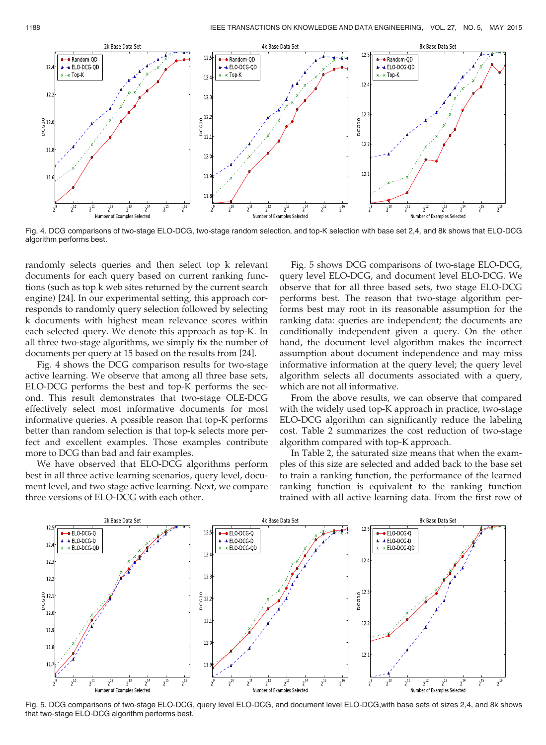

Fig. 4. DCG comparisons of two-stage ELO-DCG, two-stage random selection, and top-K selection with base set 2,4, and 8k shows that ELO-DCG algorithm performs best.

randomly selects queries and then select top k relevant documents for each query based on current ranking functions (such as top k web sites returned by the current search engine) [24]. In our experimental setting, this approach corresponds to randomly query selection followed by selecting k documents with highest mean relevance scores within each selected query. We denote this approach as top-K. In all three two-stage algorithms, we simply fix the number of documents per query at 15 based on the results from [24].

Fig. 4 shows the DCG comparison results for two-stage active learning. We observe that among all three base sets, ELO-DCG performs the best and top-K performs the second. This result demonstrates that two-stage OLE-DCG effectively select most informative documents for most informative queries. A possible reason that top-K performs better than random selection is that top-k selects more perfect and excellent examples. Those examples contribute more to DCG than bad and fair examples.

We have observed that ELO-DCG algorithms perform best in all three active learning scenarios, query level, document level, and two stage active learning. Next, we compare three versions of ELO-DCG with each other.

Fig. 5 shows DCG comparisons of two-stage ELO-DCG, query level ELO-DCG, and document level ELO-DCG. We observe that for all three based sets, two stage ELO-DCG performs best. The reason that two-stage algorithm performs best may root in its reasonable assumption for the ranking data: queries are independent; the documents are conditionally independent given a query. On the other hand, the document level algorithm makes the incorrect assumption about document independence and may miss informative information at the query level; the query level algorithm selects all documents associated with a query, which are not all informative.

From the above results, we can observe that compared with the widely used top-K approach in practice, two-stage ELO-DCG algorithm can significantly reduce the labeling cost. Table 2 summarizes the cost reduction of two-stage algorithm compared with top-K approach.

In Table 2, the saturated size means that when the examples of this size are selected and added back to the base set to train a ranking function, the performance of the learned ranking function is equivalent to the ranking function trained with all active learning data. From the first row of



Fig. 5. DCG comparisons of two-stage ELO-DCG, query level ELO-DCG, and document level ELO-DCG,with base sets of sizes 2,4, and 8k shows that two-stage ELO-DCG algorithm performs best.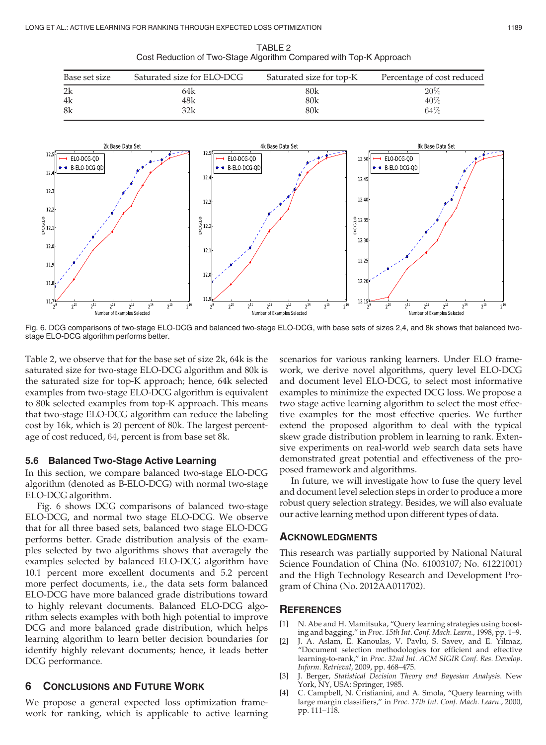| TABLE 2                                                            |
|--------------------------------------------------------------------|
| Cost Reduction of Two-Stage Algorithm Compared with Top-K Approach |

| Base set size | Saturated size for ELO-DCG | Saturated size for top-K | Percentage of cost reduced |
|---------------|----------------------------|--------------------------|----------------------------|
| 2k            | 64k                        | 80k                      | $20\%$                     |
| 4k            | 48k                        | 80k                      | 40%                        |
| 8k            | 32k                        | 80k                      | 64\%                       |



Fig. 6. DCG comparisons of two-stage ELO-DCG and balanced two-stage ELO-DCG, with base sets of sizes 2,4, and 8k shows that balanced twostage ELO-DCG algorithm performs better.

Table 2, we observe that for the base set of size 2k, 64k is the saturated size for two-stage ELO-DCG algorithm and 80k is the saturated size for top-K approach; hence, 64k selected examples from two-stage ELO-DCG algorithm is equivalent to 80k selected examples from top-K approach. This means that two-stage ELO-DCG algorithm can reduce the labeling cost by 16k, which is 20 percent of 80k. The largest percentage of cost reduced, 64, percent is from base set 8k.

#### 5.6 Balanced Two-Stage Active Learning

In this section, we compare balanced two-stage ELO-DCG algorithm (denoted as B-ELO-DCG) with normal two-stage ELO-DCG algorithm.

Fig. 6 shows DCG comparisons of balanced two-stage ELO-DCG, and normal two stage ELO-DCG. We observe that for all three based sets, balanced two stage ELO-DCG performs better. Grade distribution analysis of the examples selected by two algorithms shows that averagely the examples selected by balanced ELO-DCG algorithm have 10.1 percent more excellent documents and 5.2 percent more perfect documents, i.e., the data sets form balanced ELO-DCG have more balanced grade distributions toward to highly relevant documents. Balanced ELO-DCG algorithm selects examples with both high potential to improve DCG and more balanced grade distribution, which helps learning algorithm to learn better decision boundaries for identify highly relevant documents; hence, it leads better DCG performance.

# 6 CONCLUSIONS AND FUTURE WORK

We propose a general expected loss optimization framework for ranking, which is applicable to active learning scenarios for various ranking learners. Under ELO framework, we derive novel algorithms, query level ELO-DCG and document level ELO-DCG, to select most informative examples to minimize the expected DCG loss. We propose a two stage active learning algorithm to select the most effective examples for the most effective queries. We further extend the proposed algorithm to deal with the typical skew grade distribution problem in learning to rank. Extensive experiments on real-world web search data sets have demonstrated great potential and effectiveness of the proposed framework and algorithms.

In future, we will investigate how to fuse the query level and document level selection steps in order to produce a more robust query selection strategy. Besides, we will also evaluate our active learning method upon different types of data.

#### ACKNOWLEDGMENTS

This research was partially supported by National Natural Science Foundation of China (No. 61003107; No. 61221001) and the High Technology Research and Development Program of China (No. 2012AA011702).

#### **REFERENCES**

- [1] N. Abe and H. Mamitsuka, "Query learning strategies using boosting and bagging," in Proc. 15th Int. Conf. Mach. Learn., 1998, pp. 1–9.
- [2] J. A. Aslam, E. Kanoulas, V. Pavlu, S. Savev, and E. Yilmaz, "Document selection methodologies for efficient and effective learning-to-rank," in Proc. 32nd Int. ACM SIGIR Conf. Res. Develop. Inform. Retrieval, 2009, pp. 468–475.
- [3] J. Berger, Statistical Decision Theory and Bayesian Analysis. New York, NY, USA: Springer, 1985.
- [4] C. Campbell, N. Cristianini, and A. Smola, "Query learning with large margin classifiers," in Proc. 17th Int. Conf. Mach. Learn., 2000, pp. 111–118.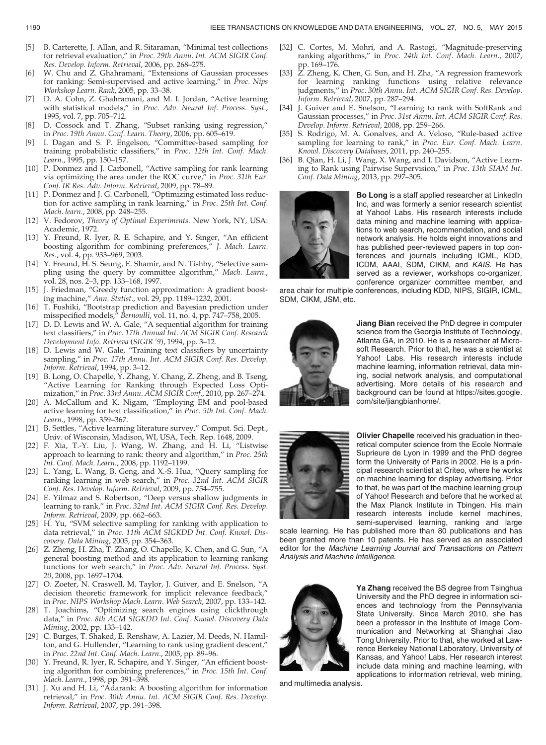- [5] B. Carterette, J. Allan, and R. Sitaraman, "Minimal test collections for retrieval evaluation," in Proc. 29th Annu. Int. ACM SIGIR Conf. Res. Develop. Inform. Retrieval, 2006, pp. 268–275.
- [6] W. Chu and Z. Ghahramani, "Extensions of Gaussian processes for ranking: Semi-supervised and active learning," in Proc. Nips Workshop Learn. Rank, 2005, pp. 33–38.
- [7] D. A. Cohn, Z. Ghahramani, and M. I. Jordan, "Active learning with statistical models," in Proc. Adv. Neural Inf. Process. Syst., 1995, vol. 7, pp. 705–712.
- [8] D. Cossock and T. Zhang, "Subset ranking using regression," in Proc. 19th Annu. Conf. Learn. Theory, 2006, pp. 605–619.
- [9] I. Dagan and S. P. Engelson, "Committee-based sampling for training probabilistic classifiers," in Proc. 12th Int. Conf. Mach. Learn., 1995, pp. 150–157.
- [10] P. Donmez and J. Carbonell, "Active sampling for rank learning via optimizing the area under the ROC curve," in Proc. 31th Eur. Conf. IR Res. Adv. Inform. Retrieval, 2009, pp. 78–89.
- [11] P. Donmez and J. G. Carbonell, "Optimizing estimated loss reduction for active sampling in rank learning," in Proc. 25th Int. Conf. Mach. learn., 2008, pp. 248–255.
- [12] V. Fedorov, Theory of Optimal Experiments. New York, NY, USA: Academic, 1972.
- [13] Y. Freund, R. Iyer, R. E. Schapire, and Y. Singer, "An efficient boosting algorithm for combining preferences," J. Mach. Learn. Res., vol. 4, pp. 933–969, 2003.
- [14] Y. Freund, H. S. Seung, E. Shamir, and N. Tishby, "Selective sampling using the query by committee algorithm," Mach. Learn., vol. 28, nos. 2–3, pp. 133–168, 1997.
- [15] J. Friedman, "Greedy function approximation: A gradient boosting machine," Ann. Statist., vol. 29, pp. 1189–1232, 2001.
- [16] T. Fushiki, "Bootstrap prediction and Bayesian prediction under misspecified models," Bernoulli, vol. 11, no. 4, pp. 747–758, 2005.
- [17] D. D. Lewis and W. A. Gale, "A sequential algorithm for training text classifiers," in Proc. 17th Annual Int. ACM SIGIR Conf. Research Development Info. Retrieva (SIGIR '9), 1994, pp. 3–12.
- [18] D. Lewis and W. Gale, "Training text classifiers by uncertainty sampling," in Proc. 17th Annu. Int. ACM SIGIR Conf. Res. Develop. Inform. Retrieval, 1994, pp. 3–12.
- [19] B. Long, O. Chapelle, Y. Zhang, Y. Chang, Z. Zheng, and B. Tseng, "Active Learning for Ranking through Expected Loss Optimization," in Proc. 33rd Annu. ACM SIGIR Conf., 2010, pp. 267–274.
- [20] A. McCallum and K. Nigam, "Employing EM and pool-based active learning for text classification," in Proc. 5th Int. Conf. Mach. Learn., 1998, pp. 359–367.
- [21] B. Settles, "Active learning literature survey," Comput. Sci. Dept., Univ. of Wisconsin, Madison, WI, USA, Tech. Rep. 1648, 2009.
- [22] F. Xia, T.-Y. Liu, J. Wang, W. Zhang, and H. Li, "Listwise approach to learning to rank: theory and algorithm," in Proc. 25th Int. Conf. Mach. Learn., 2008, pp. 1192–1199.
- [23] L. Yang, L. Wang, B. Geng, and X.-S. Hua, "Query sampling for ranking learning in web search," in Proc. 32nd Int. ACM SIGIR Conf. Res. Develop. Inform. Retrieval, 2009, pp. 754–755.
- [24] E. Yilmaz and S. Robertson, "Deep versus shallow judgments in learning to rank," in Proc. 32nd Int. ACM SIGIR Conf. Res. Develop. Inform. Retrieval, 2009, pp. 662–663.
- [25] H. Yu, "SVM selective sampling for ranking with application to data retrieval," in Proc. 11th ACM SIGKDD Int. Conf. Knowl. Discovery. Data Mining, 2005, pp. 354–363.
- [26] Z. Zheng, H. Zha, T. Zhang, O. Chapelle, K. Chen, and G. Sun, "A general boosting method and its application to learning ranking functions for web search," in Proc. Adv. Neural Inf. Process. Syst. 20, 2008, pp. 1697–1704.
- [27] O. Zoeter, N. Craswell, M. Taylor, J. Guiver, and E. Snelson, "A decision theoretic framework for implicit relevance feedback," in Proc. NIPS Workshop Mach. Learn. Web Search, 2007, pp. 133–142.
- [28] T. Joachims, "Optimizing search engines using clickthrough data," in Proc. 8th ACM SIGKDD Int. Conf. Knowl. Discovery Data Mining, 2002, pp. 133–142.
- [29] C. Burges, T. Shaked, E. Renshaw, A. Lazier, M. Deeds, N. Hamilton, and G. Hullender, "Learning to rank using gradient descent," in Proc. 22nd Int. Conf. Mach. Learn., 2005, pp. 89–96.
- [30] Y. Freund, R. Iyer, R. Schapire, and Y. Singer, "An efficient boosting algorithm for combining preferences," in Proc. 15th Int. Conf. Mach. Learn., 1998, pp. 391–398.
- [31] J. Xu and H. Li, "Adarank: A boosting algorithm for information retrieval," in Proc. 30th Annu. Int. ACM SIGIR Conf. Res. Develop. Inform. Retrieval, 2007, pp. 391–398.
- [32] C. Cortes, M. Mohri, and A. Rastogi, "Magnitude-preserving ranking algorithms," in Proc. 24th Int. Conf. Mach. Learn., 2007, pp. 169–176.
- [33] Z. Zheng, K. Chen, G. Sun, and H. Zha, "A regression framework for learning ranking functions using relative relevance judgments," in Proc. 30th Annu. Int. ACM SIGIR Conf. Res. Develop. Inform. Retrieval, 2007, pp. 287–294.
- [34] J. Guiver and E. Snelson, "Learning to rank with SoftRank and Gaussian processes," in Proc. 31st Annu. Int. ACM SIGIR Conf. Res. Develop. Inform. Retrieval, 2008, pp. 259–266.
- [35] S. Rodrigo, M. A. Gonalves, and A. Veloso, "Rule-based active sampling for learning to rank," in Proc. Eur. Conf. Mach. Learn. Knowl. Discovery Databases, 2011, pp. 240–255.
- [36] B. Qian, H. Li, J. Wang, X. Wang, and I. Davidson, "Active Learning to Rank using Pairwise Supervision," in Proc. 13th SIAM Int. Conf. Data Mining, 2013, pp. 297–305.



Bo Long is a staff applied researcher at LinkedIn Inc, and was formerly a senior research scientist at Yahoo! Labs. His research interests include data mining and machine learning with applications to web search, recommendation, and social network analysis. He holds eight innovations and has published peer-reviewed papers in top conferences and journals including ICML, KDD, ICDM, AAAI, SDM, CIKM, and KAIS. He has served as a reviewer, workshops co-organizer, conference organizer committee member, and

area chair for multiple conferences, including KDD, NIPS, SIGIR, ICML, SDM, CIKM, JSM, etc.



Jiang Bian received the PhD degree in computer science from the Georgia Institute of Technology, Atlanta GA, in 2010. He is a researcher at Microsoft Research. Prior to that, he was a scientist at Yahoo! Labs. His research interests include machine learning, information retrieval, data mining, social network analysis, and computational advertising. More details of his research and background can be found at https://sites.google. com/site/jiangbianhome/.



Olivier Chapelle received his graduation in theoretical computer science from the Ecole Normale Suprieure de Lyon in 1999 and the PhD degree form the University of Paris in 2002. He is a principal research scientist at Criteo, where he works on machine learning for display advertising. Prior to that, he was part of the machine learning group of Yahoo! Research and before that he worked at the Max Planck Institute in Tbingen. His main research interests include kernel machines, semi-supervised learning, ranking and large

scale learning. He has published more than 80 publications and has been granted more than 10 patents. He has served as an associated editor for the Machine Learning Journal and Transactions on Pattern Analysis and Machine Intelligence.



Ya Zhang received the BS degree from Tsinghua University and the PhD degree in information sciences and technology from the Pennsylvania State University. Since March 2010, she has been a professor in the Institute of Image Communication and Networking at Shanghai Jiao Tong University. Prior to that, she worked at Lawrence Berkeley National Laboratory, University of Kansas, and Yahoo! Labs. Her research interest include data mining and machine learning, with applications to information retrieval, web mining,

and multimedia analysis.